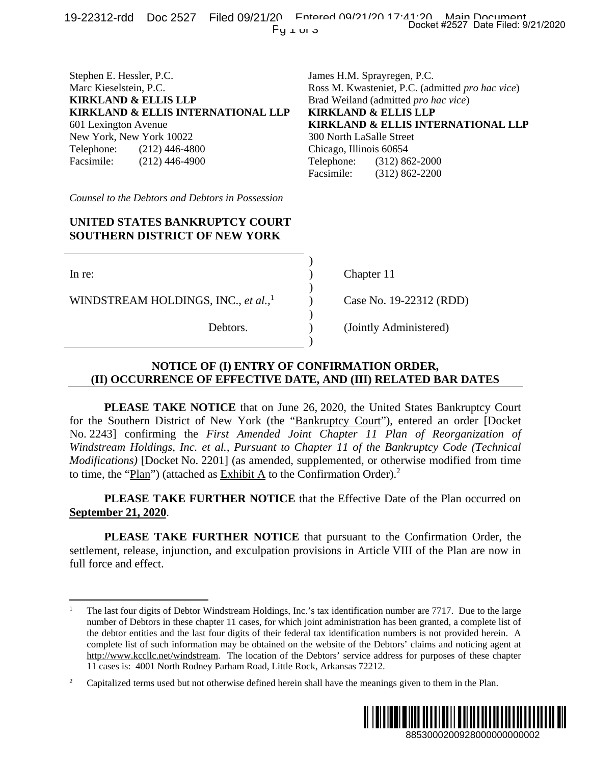## Stephen E. Hessler, P.C. James H.M. Sprayregen, P.C. Marc Kieselstein, P.C. Ross M. Kwasteniet, P.C. (admitted *pro hac vice*) **KIRKLAND & ELLIS LLP** Brad Weiland (admitted *pro hac vice*)<br>**KIRKLAND & ELLIS INTERNATIONAL LLP KIRKLAND & ELLIS LLP** KIRKLAND & ELLIS INTERNATIONAL LLP

New York, New York 10022 300 North LaSalle Street Telephone: (212) 446-4800 Chicago, Illinois 60654 Facsimile: (212) 446-4900 Telephone: (312) 862-2000

601 Lexington Avenue **KIRKLAND & ELLIS INTERNATIONAL LLP**  Facsimile: (312) 862-2200 **EXECT Date Filed: 9/21/2020**<br> **n, P.C.**<br> **C.** (admitted *pro hac vice)*<br> **S ILTERNATIONAL LLP**<br> **ti**<br> **STLERNATIONAL LLP**<br> **c**2-2000<br>
62-2000<br>
62-2000<br>
62-2000<br> **EXECT DREAR DATES**<br> **RDER,**<br> **RDER,**<br> **RDER,**<br> **RDER,**<br> **R** 

*Counsel to the Debtors and Debtors in Possession*

## **UNITED STATES BANKRUPTCY COURT SOUTHERN DISTRICT OF NEW YORK**

 $)$ 

 $)$ 

 $)$ 

 $)$ 

 $\overline{a}$ 

WINDSTREAM HOLDINGS, INC., *et al.,*<sup>1</sup>

In re: (a) Chapter 11

) Case No. 19-22312 (RDD)

Debtors. ) (Jointly Administered)

## **NOTICE OF (I) ENTRY OF CONFIRMATION ORDER, (II) OCCURRENCE OF EFFECTIVE DATE, AND (III) RELATED BAR DATES**

 **PLEASE TAKE NOTICE** that on June 26, 2020, the United States Bankruptcy Court for the Southern District of New York (the "Bankruptcy Court"), entered an order [Docket No. 2243] confirming the *First Amended Joint Chapter 11 Plan of Reorganization of Windstream Holdings, Inc. et al., Pursuant to Chapter 11 of the Bankruptcy Code (Technical Modifications)* [Docket No. 2201] (as amended, supplemented, or otherwise modified from time to time, the "Plan") (attached as Exhibit A to the Confirmation Order).<sup>2</sup>

 **PLEASE TAKE FURTHER NOTICE** that the Effective Date of the Plan occurred on **September 21, 2020**.

 **PLEASE TAKE FURTHER NOTICE** that pursuant to the Confirmation Order, the settlement, release, injunction, and exculpation provisions in Article VIII of the Plan are now in full force and effect.

<sup>2</sup> Capitalized terms used but not otherwise defined herein shall have the meanings given to them in the Plan.



<sup>1</sup> The last four digits of Debtor Windstream Holdings, Inc.'s tax identification number are 7717. Due to the large number of Debtors in these chapter 11 cases, for which joint administration has been granted, a complete list of the debtor entities and the last four digits of their federal tax identification numbers is not provided herein. A complete list of such information may be obtained on the website of the Debtors' claims and noticing agent at http://www.kccllc.net/windstream. The location of the Debtors' service address for purposes of these chapter 11 cases is: 4001 North Rodney Parham Road, Little Rock, Arkansas 72212.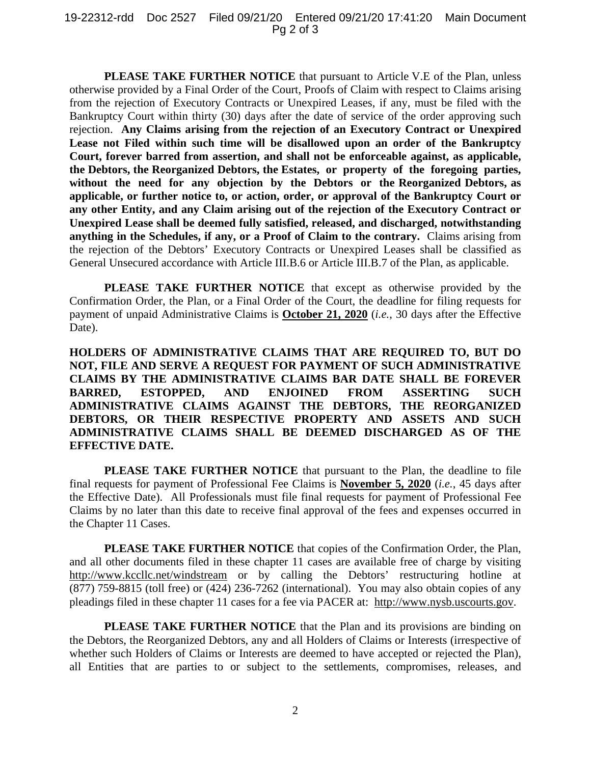**PLEASE TAKE FURTHER NOTICE** that pursuant to Article V.E of the Plan, unless otherwise provided by a Final Order of the Court, Proofs of Claim with respect to Claims arising from the rejection of Executory Contracts or Unexpired Leases, if any, must be filed with the Bankruptcy Court within thirty (30) days after the date of service of the order approving such rejection. **Any Claims arising from the rejection of an Executory Contract or Unexpired Lease not Filed within such time will be disallowed upon an order of the Bankruptcy Court, forever barred from assertion, and shall not be enforceable against, as applicable, the Debtors, the Reorganized Debtors, the Estates, or property of the foregoing parties, without the need for any objection by the Debtors or the Reorganized Debtors, as applicable, or further notice to, or action, order, or approval of the Bankruptcy Court or any other Entity, and any Claim arising out of the rejection of the Executory Contract or Unexpired Lease shall be deemed fully satisfied, released, and discharged, notwithstanding anything in the Schedules, if any, or a Proof of Claim to the contrary.** Claims arising from the rejection of the Debtors' Executory Contracts or Unexpired Leases shall be classified as General Unsecured accordance with Article III.B.6 or Article III.B.7 of the Plan, as applicable.

**PLEASE TAKE FURTHER NOTICE** that except as otherwise provided by the Confirmation Order, the Plan, or a Final Order of the Court, the deadline for filing requests for payment of unpaid Administrative Claims is **October 21, 2020** (*i.e.*, 30 days after the Effective Date).

**HOLDERS OF ADMINISTRATIVE CLAIMS THAT ARE REQUIRED TO, BUT DO NOT, FILE AND SERVE A REQUEST FOR PAYMENT OF SUCH ADMINISTRATIVE CLAIMS BY THE ADMINISTRATIVE CLAIMS BAR DATE SHALL BE FOREVER BARRED, ESTOPPED, AND ENJOINED FROM ASSERTING SUCH ADMINISTRATIVE CLAIMS AGAINST THE DEBTORS, THE REORGANIZED DEBTORS, OR THEIR RESPECTIVE PROPERTY AND ASSETS AND SUCH ADMINISTRATIVE CLAIMS SHALL BE DEEMED DISCHARGED AS OF THE EFFECTIVE DATE.** 

**PLEASE TAKE FURTHER NOTICE** that pursuant to the Plan, the deadline to file final requests for payment of Professional Fee Claims is **November 5, 2020** (*i.e.*, 45 days after the Effective Date). All Professionals must file final requests for payment of Professional Fee Claims by no later than this date to receive final approval of the fees and expenses occurred in the Chapter 11 Cases.

**PLEASE TAKE FURTHER NOTICE** that copies of the Confirmation Order, the Plan, and all other documents filed in these chapter 11 cases are available free of charge by visiting http://www.kccllc.net/windstream or by calling the Debtors' restructuring hotline at (877) 759-8815 (toll free) or (424) 236-7262 (international). You may also obtain copies of any pleadings filed in these chapter 11 cases for a fee via PACER at: http://www.nysb.uscourts.gov.

**PLEASE TAKE FURTHER NOTICE** that the Plan and its provisions are binding on the Debtors, the Reorganized Debtors, any and all Holders of Claims or Interests (irrespective of whether such Holders of Claims or Interests are deemed to have accepted or rejected the Plan), all Entities that are parties to or subject to the settlements, compromises, releases, and